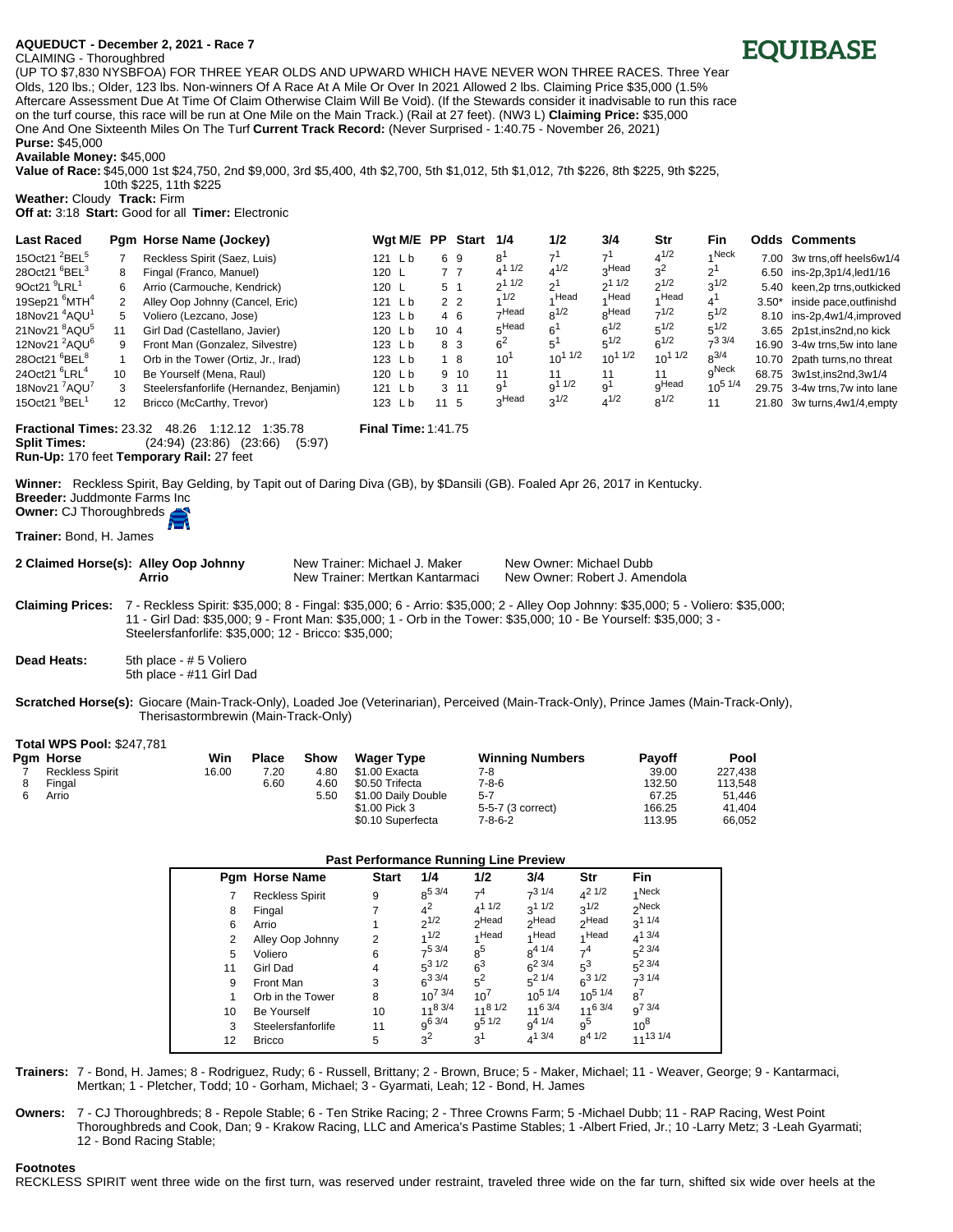## **AQUEDUCT[ - December 2, 2021 - Race 7**

## CLAIMING - Thoroughbred



(UP TO \$7,830 NYSBFOA) FOR THREE YEAR OLDS AND UPWARD WHICH HAVE NEVER WON THREE RACES. Three Year Olds, 120 lbs.; Older, 123 lbs. Non-winners Of A Race At A Mile Or Over In 2021 Allowed 2 lbs. Claiming Price \$35,000 (1.5% Aftercare Assessment Due At Time Of Claim Otherwise Claim Will Be Void). (If the Stewards consider it inadvisable to run this race on the turf course, this race will be run at One Mile on the Main Track.) (Rail at 27 feet). (NW3 L) **Claiming Price:** \$35,000 One And One Sixteenth Miles On The Turf **Current Track Record:** (Never Surprised - 1:40.75 - November 26, 2021) **Purse:** \$45,000

**Available Money:** \$45,000

**Value of Race:** \$45,000 1st \$24,750, 2nd \$9,000, 3rd \$5,400, 4th \$2,700, 5th \$1,012, 5th \$1,012, 7th \$226, 8th \$225, 9th \$225, 10th \$225, 11th \$225

**Weather:** Cloudy **Track:** Firm **Off at:** 3:18 **Start:** Good for all **Timer:** Electronic

| <b>Last Raced</b>                     |    | Pam Horse Name (Jockey)                  | Wgt M/E PP        |                | Start 1/4      |                | 1/2                      | 3/4                    | Str               | Fin            |         | <b>Odds Comments</b>          |
|---------------------------------------|----|------------------------------------------|-------------------|----------------|----------------|----------------|--------------------------|------------------------|-------------------|----------------|---------|-------------------------------|
| 15Oct21 <sup>2</sup> BEL <sup>5</sup> |    | Reckless Spirit (Saez, Luis)             | $121$ Lb          |                | 69             | 8'             | $\overline{\phantom{a}}$ | $\overline{ }$         | $4^{1/2}$         | 4 Neck         |         | 7.00 3w trns, off heels6w1/4  |
| 28Oct21 <sup>6</sup> BEL <sup>3</sup> | 8  | Fingal (Franco, Manuel)                  | 120 $\mathsf{L}$  |                | 77             | $4^{11/2}$     | $4^{1/2}$                | Headہ                  | 3 <sup>2</sup>    | 2'             |         | 6.50 ins-2p,3p1/4,led1/16     |
| $9$ Oct21 $9$ LRL $1$                 | 6  | Arrio (Carmouche, Kendrick)              | 120 L             | 5 <sup>1</sup> |                | 211/2          | $\mathcal{L}$            | $2^{11/2}$             | $2^{1/2}$         | $2^{1/2}$      |         | 5.40 keen, 2p trns, outkicked |
| 19Sep21 $^6$ MTH $^4$                 | 2  | Alley Oop Johnny (Cancel, Eric)          | 121 Lb            |                | 2 <sub>2</sub> | 1/2            | Head                     | ⊿ Head                 | Head              | 4'             | $3.50*$ | inside pace,outfinishd        |
| 18Nov21 <sup>4</sup> AQU <sup>1</sup> | 5  | Voliero (Lezcano, Jose)                  | 123 Lb            |                | 4 6            | –,Head         | $0^{1/2}$                | <sub>o</sub> Head      | $7^{1/2}$         | $5^{1/2}$      |         | 8.10 ins-2p,4w1/4,improved    |
| 21Nov21 <sup>8</sup> AQU <sup>5</sup> | 11 | Girl Dad (Castellano, Javier)            | 120 $\mathsf{Lb}$ | $10 \quad 4$   |                | $E$ Head       | $6^{\circ}$              | $6^{1/2}$              | $5^{1/2}$         | $5^{1/2}$      |         | 3.65 2p1st, ins2nd, no kick   |
| 12Nov21 <sup>2</sup> AQU <sup>6</sup> | 9  | Front Man (Gonzalez, Silvestre)          | 123Lb             |                | 8 3            | 6 <sup>2</sup> | 5                        | $5^{1/2}$              | $6^{1/2}$         | $-33/4$        |         | 16.90 3-4w trns, 5w into lane |
| 28Oct21 <sup>6</sup> BEL <sup>8</sup> |    | Orb in the Tower (Ortiz, Jr., Irad)      | 123Lb             |                | 1 8            | $10^{\circ}$   | $10^{11/2}$              | $10^{11/2}$            | $10^{11/2}$       | $0^{3/4}$      |         | 10.70 2path turns, no threat  |
| 24Oct21 <sup>6</sup> LRL <sup>4</sup> | 10 | Be Yourself (Mena, Raul)                 | 120 Lb            |                | $9 \t10$       | 11             | 11                       | 11                     | 11                | gNeck          |         | 68.75 3w1st, ins2nd, 3w1/4    |
| 18Nov21 'AQU'                         | 3  | Steelersfanforlife (Hernandez, Benjamin) | $121$ Lb          |                | $3 \t11$       | ۹'             | $q^{11/2}$               | $\mathbf{Q}^{\dagger}$ | <sub>Q</sub> Head | $10^{5}$ $1/4$ |         | 29.75 3-4w trns.7w into lane  |
| 15Oct21 $9$ BEL <sup>1</sup>          | 12 | Bricco (McCarthy, Trevor)                | 123 Lb            | $11 \quad 5$   |                | 3Head          | $3^{1/2}$                | $4^{1/2}$              | $8^{1/2}$         | 11             |         | 21.80 3w turns.4w1/4.empty    |

**Fractional Times:** 23.32 48.26 1:12.12 1:35.78 **Final Time:** 1:41.75 **Split Times:** (24:94) (23:86) (23:66) (5:97) **Run-Up:** 170 feet **Temporary Rail:** 27 feet

**Winner:** Reckless Spirit, Bay Gelding, by Tapit out of Daring Diva (GB), by \$Dansili (GB). Foaled Apr 26, 2017 in Kentucky. **Breeder:** Juddmonte Farms Inc

**Owner:** CJ Thoroughbreds

**Trainer:** Bond, H. James

2 Claimed Horse(s): Alley Oop Johnny New Trainer: Michael J. Maker New Owner: Michael Dubb **Arrio New Trainer: Mertkan Kantarmaci** New Owner: Robert J. Amendola

**Claiming Prices:** 7 - Reckless Spirit: \$35,000; 8 - Fingal: \$35,000; 6 - Arrio: \$35,000; 2 - Alley Oop Johnny: \$35,000; 5 - Voliero: \$35,000; 11 - Girl Dad: \$35,000; 9 - Front Man: \$35,000; 1 - Orb in the Tower: \$35,000; 10 - Be Yourself: \$35,000; 3 - Steelersfanforlife: \$35,000; 12 - Bricco: \$35,000;

**Dead Heats:** 5th place - # 5 Voliero 5th place - #11 Girl Dad

**Scratched Horse(s):** Giocare (Main-Track-Only), Loaded Joe (Veterinarian), Perceived (Main-Track-Only), Prince James (Main-Track-Only), Therisastormbrewin (Main-Track-Only)

|  |  |  | <b>Total WPS Pool: \$247,781</b> |
|--|--|--|----------------------------------|
|--|--|--|----------------------------------|

|  | <b>Pam Horse</b>       | Win   | Place | Show | <b>Wager Type</b>   | <b>Winning Numbers</b> | <b>Pavoff</b> | Pool    |
|--|------------------------|-------|-------|------|---------------------|------------------------|---------------|---------|
|  | <b>Reckless Spirit</b> | 16.00 | 7.20  | 4.80 | \$1.00 Exacta       | 7-8                    | 39.00         | 227.438 |
|  | Fingal                 |       | 6.60  | 4.60 | \$0.50 Trifecta     | $7 - 8 - 6$            | 132.50        | 113.548 |
|  | Arrio                  |       |       | 5.50 | \$1.00 Daily Double | $5 - 7$                | 67.25         | 51.446  |
|  |                        |       |       |      | \$1.00 Pick 3       | 5-5-7 (3 correct)      | 166.25        | 41.404  |
|  |                        |       |       |      | \$0.10 Superfecta   | 7-8-6-2                | 113.95        | 66.052  |

## **Past Performance Running Line Preview**

|    | Pgm Horse Name         | <b>Start</b> | 1/4          | 1/2               | 3/4               | Str               | <b>Fin</b>        |
|----|------------------------|--------------|--------------|-------------------|-------------------|-------------------|-------------------|
|    | <b>Reckless Spirit</b> | 9            | $8^{5}$ 3/4  | 7 <sup>4</sup>    | $7^{3}1/4$        | $A^2$ 1/2         | 4 Neck            |
| 8  | Fingal                 |              | $4^2$        | $4^{11/2}$        | $3^{11/2}$        | $2^{1/2}$         | <sub>2</sub> Neck |
| 6  | Arrio                  |              | $2^{1/2}$    | <sub>2</sub> Head | <sub>2</sub> Head | <sub>2</sub> Head | $3^{11/4}$        |
| 2  | Alley Oop Johnny       | 2            | 1/2          | 4 Head            | 4 Head            | 1Head             | $4^{1}$ 3/4       |
| 5  | Voliero                | 6            | $7^5$ 3/4    | $8^5$             | $8^{4}$ $1/4$     | 7 <sup>4</sup>    | $5^2$ 3/4         |
| 11 | Girl Dad               | 4            | $5^3$ 1/2    | 6 <sup>3</sup>    | $6^{2}$ 3/4       | $5^3$             | $5^2$ 3/4         |
| 9  | Front Man              | 3            | $6^{3}$ 3/4  | $5^2$             | $5^2$ 1/4         | $6^{3}1/2$        | $7^3$ 1/4         |
| 1  | Orb in the Tower       | 8            | $10^{7}$ 3/4 | $10^{7}$          | $10^{5}$ 1/4      | $10^{5}$ 1/4      | $8^7$             |
| 10 | <b>Be Yourself</b>     | 10           | $11^{8}$ 3/4 | $11^8$ 1/2        | 1163/4            | $11^6$ 3/4        | $q^{7}$ 3/4       |
| 3  | Steelersfanforlife     | 11           | $9^{6}$ 3/4  | $0^{5}1/2$        | $9^{4} 1/4$       | 9 <sup>5</sup>    | $10^8$            |
| 12 | <b>Bricco</b>          | 5            | $3^2$        | 3 <sup>1</sup>    | $4^{1}$ 3/4       | $8^{4}$ 1/2       | $11^{13}$ $1/4$   |

**Trainers:** 7 - Bond, H. James; 8 - Rodriguez, Rudy; 6 - Russell, Brittany; 2 - Brown, Bruce; 5 - Maker, Michael; 11 - Weaver, George; 9 - Kantarmaci, Mertkan; 1 - Pletcher, Todd; 10 - Gorham, Michael; 3 - Gyarmati, Leah; 12 - Bond, H. James

**Owners:** 7 - CJ Thoroughbreds; 8 - Repole Stable; 6 - Ten Strike Racing; 2 - Three Crowns Farm; 5 -Michael Dubb; 11 - RAP Racing, West Point Thoroughbreds and Cook, Dan; 9 - Krakow Racing, LLC and America's Pastime Stables; 1 -Albert Fried, Jr.; 10 -Larry Metz; 3 -Leah Gyarmati; 12 - Bond Racing Stable;

## **Footnotes**

RECKLESS SPIRIT went three wide on the first turn, was reserved under restraint, traveled three wide on the far turn, shifted six wide over heels at the